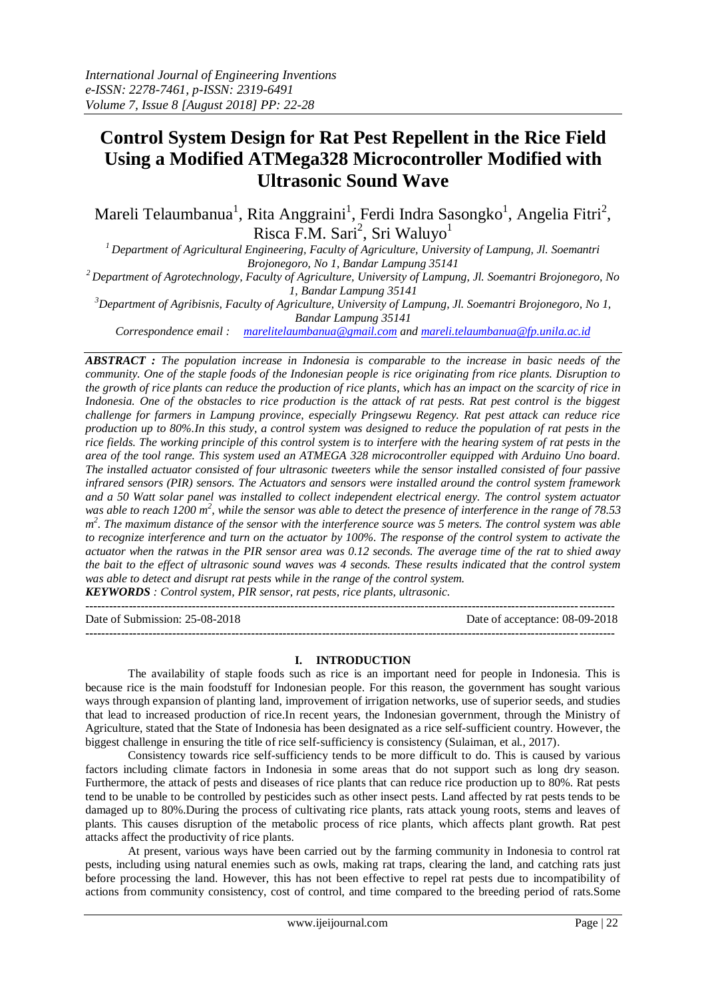# **Control System Design for Rat Pest Repellent in the Rice Field Using a Modified ATMega328 Microcontroller Modified with Ultrasonic Sound Wave**

Mareli Telaumbanua<sup>1</sup>, Rita Anggraini<sup>1</sup>, Ferdi Indra Sasongko<sup>1</sup>, Angelia Fitri<sup>2</sup>, Risca F.M. Sari<sup>2</sup>, Sri Waluyo<sup>1</sup>

*<sup>1</sup>Department of Agricultural Engineering, Faculty of Agriculture, University of Lampung, Jl. Soemantri Brojonegoro, No 1, Bandar Lampung 35141*

*<sup>2</sup>Department of Agrotechnology, Faculty of Agriculture, University of Lampung, Jl. Soemantri Brojonegoro, No 1, Bandar Lampung 35141*

*<sup>3</sup>Department of Agribisnis, Faculty of Agriculture, University of Lampung, Jl. Soemantri Brojonegoro, No 1, Bandar Lampung 35141*

*Correspondence email : [marelitelaumbanua@gmail.com](mailto:marelitelaumbanua@gmail.com) and [mareli.telaumbanua@fp.unila.ac.id](mailto:mareli.telaumbanua@fp.unila.ac.id)*

*ABSTRACT : The population increase in Indonesia is comparable to the increase in basic needs of the community. One of the staple foods of the Indonesian people is rice originating from rice plants. Disruption to the growth of rice plants can reduce the production of rice plants, which has an impact on the scarcity of rice in*  Indonesia. One of the obstacles to rice production is the attack of rat pests. Rat pest control is the biggest *challenge for farmers in Lampung province, especially Pringsewu Regency. Rat pest attack can reduce rice production up to 80%.In this study, a control system was designed to reduce the population of rat pests in the rice fields. The working principle of this control system is to interfere with the hearing system of rat pests in the area of the tool range. This system used an ATMEGA 328 microcontroller equipped with Arduino Uno board. The installed actuator consisted of four ultrasonic tweeters while the sensor installed consisted of four passive infrared sensors (PIR) sensors. The Actuators and sensors were installed around the control system framework and a 50 Watt solar panel was installed to collect independent electrical energy. The control system actuator*  was able to reach 1200 m<sup>2</sup>, while the sensor was able to detect the presence of interference in the range of 78.53 m<sup>2</sup>. The maximum distance of the sensor with the interference source was 5 meters. The control system was able *to recognize interference and turn on the actuator by 100%. The response of the control system to activate the actuator when the ratwas in the PIR sensor area was 0.12 seconds. The average time of the rat to shied away the bait to the effect of ultrasonic sound waves was 4 seconds. These results indicated that the control system was able to detect and disrupt rat pests while in the range of the control system.*

*KEYWORDS : Control system, PIR sensor, rat pests, rice plants, ultrasonic.*

**--------------------------------------------------------------------------------------------------------------------------------------** Date of Submission: 25-08-2018 Date of acceptance: 08-09-2018 **--------------------------------------------------------------------------------------------------------------------------------------**

#### **I. INTRODUCTION**

The availability of staple foods such as rice is an important need for people in Indonesia. This is because rice is the main foodstuff for Indonesian people. For this reason, the government has sought various ways through expansion of planting land, improvement of irrigation networks, use of superior seeds, and studies that lead to increased production of rice.In recent years, the Indonesian government, through the Ministry of Agriculture, stated that the State of Indonesia has been designated as a rice self-sufficient country. However, the biggest challenge in ensuring the title of rice self-sufficiency is consistency (Sulaiman, et al., 2017).

Consistency towards rice self-sufficiency tends to be more difficult to do. This is caused by various factors including climate factors in Indonesia in some areas that do not support such as long dry season. Furthermore, the attack of pests and diseases of rice plants that can reduce rice production up to 80%. Rat pests tend to be unable to be controlled by pesticides such as other insect pests. Land affected by rat pests tends to be damaged up to 80%.During the process of cultivating rice plants, rats attack young roots, stems and leaves of plants. This causes disruption of the metabolic process of rice plants, which affects plant growth. Rat pest attacks affect the productivity of rice plants.

At present, various ways have been carried out by the farming community in Indonesia to control rat pests, including using natural enemies such as owls, making rat traps, clearing the land, and catching rats just before processing the land. However, this has not been effective to repel rat pests due to incompatibility of actions from community consistency, cost of control, and time compared to the breeding period of rats.Some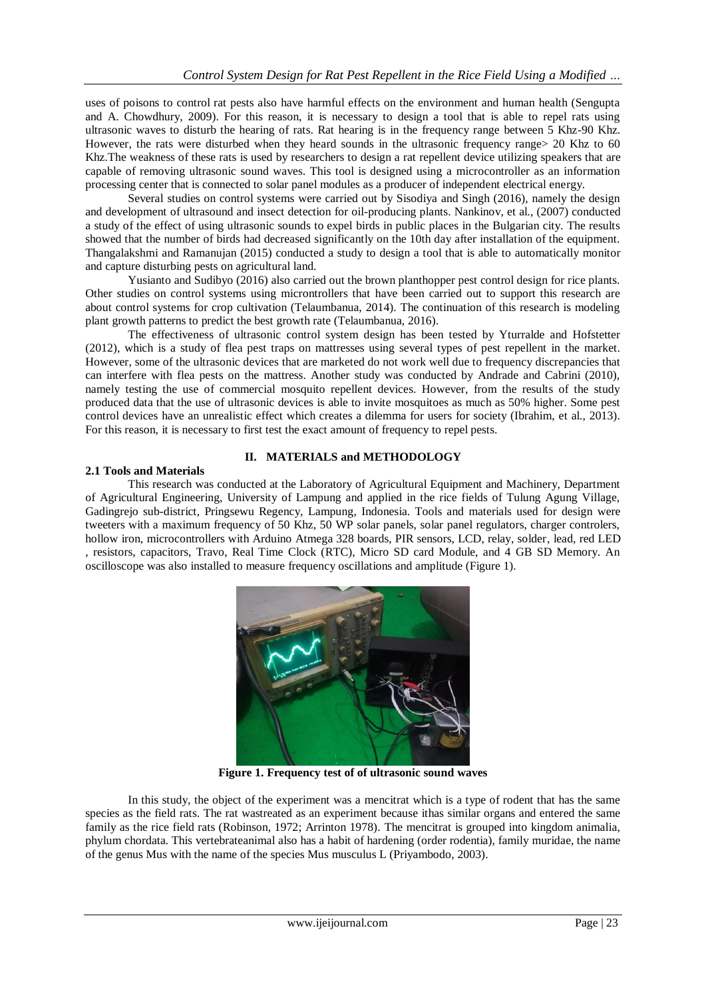uses of poisons to control rat pests also have harmful effects on the environment and human health (Sengupta and A. Chowdhury, 2009). For this reason, it is necessary to design a tool that is able to repel rats using ultrasonic waves to disturb the hearing of rats. Rat hearing is in the frequency range between 5 Khz-90 Khz. However, the rats were disturbed when they heard sounds in the ultrasonic frequency range> 20 Khz to 60 Khz.The weakness of these rats is used by researchers to design a rat repellent device utilizing speakers that are capable of removing ultrasonic sound waves. This tool is designed using a microcontroller as an information processing center that is connected to solar panel modules as a producer of independent electrical energy.

Several studies on control systems were carried out by Sisodiya and Singh (2016), namely the design and development of ultrasound and insect detection for oil-producing plants. Nankinov, et al., (2007) conducted a study of the effect of using ultrasonic sounds to expel birds in public places in the Bulgarian city. The results showed that the number of birds had decreased significantly on the 10th day after installation of the equipment. Thangalakshmi and Ramanujan (2015) conducted a study to design a tool that is able to automatically monitor and capture disturbing pests on agricultural land.

Yusianto and Sudibyo (2016) also carried out the brown planthopper pest control design for rice plants. Other studies on control systems using microntrollers that have been carried out to support this research are about control systems for crop cultivation (Telaumbanua, 2014). The continuation of this research is modeling plant growth patterns to predict the best growth rate (Telaumbanua, 2016).

The effectiveness of ultrasonic control system design has been tested by Yturralde and Hofstetter (2012), which is a study of flea pest traps on mattresses using several types of pest repellent in the market. However, some of the ultrasonic devices that are marketed do not work well due to frequency discrepancies that can interfere with flea pests on the mattress. Another study was conducted by Andrade and Cabrini (2010), namely testing the use of commercial mosquito repellent devices. However, from the results of the study produced data that the use of ultrasonic devices is able to invite mosquitoes as much as 50% higher. Some pest control devices have an unrealistic effect which creates a dilemma for users for society (Ibrahim, et al., 2013). For this reason, it is necessary to first test the exact amount of frequency to repel pests.

### **II. MATERIALS and METHODOLOGY**

#### **2.1 Tools and Materials**

This research was conducted at the Laboratory of Agricultural Equipment and Machinery, Department of Agricultural Engineering, University of Lampung and applied in the rice fields of Tulung Agung Village, Gadingrejo sub-district, Pringsewu Regency, Lampung, Indonesia. Tools and materials used for design were tweeters with a maximum frequency of 50 Khz, 50 WP solar panels, solar panel regulators, charger controlers, hollow iron, microcontrollers with Arduino Atmega 328 boards, PIR sensors, LCD, relay, solder, lead, red LED , resistors, capacitors, Travo, Real Time Clock (RTC), Micro SD card Module, and 4 GB SD Memory. An oscilloscope was also installed to measure frequency oscillations and amplitude (Figure 1).



**Figure 1. Frequency test of of ultrasonic sound waves**

In this study, the object of the experiment was a mencitrat which is a type of rodent that has the same species as the field rats. The rat wastreated as an experiment because ithas similar organs and entered the same family as the rice field rats (Robinson, 1972; Arrinton 1978). The mencitrat is grouped into kingdom animalia, phylum chordata. This vertebrateanimal also has a habit of hardening (order rodentia), family muridae, the name of the genus Mus with the name of the species Mus musculus L (Priyambodo, 2003).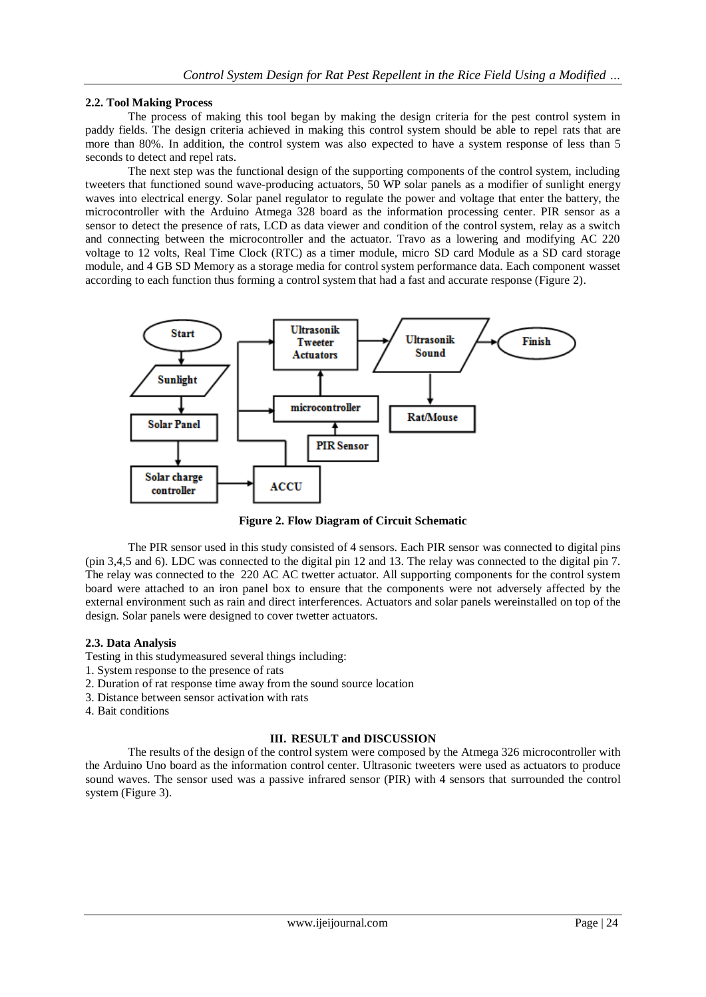#### **2.2. Tool Making Process**

The process of making this tool began by making the design criteria for the pest control system in paddy fields. The design criteria achieved in making this control system should be able to repel rats that are more than 80%. In addition, the control system was also expected to have a system response of less than 5 seconds to detect and repel rats.

The next step was the functional design of the supporting components of the control system, including tweeters that functioned sound wave-producing actuators, 50 WP solar panels as a modifier of sunlight energy waves into electrical energy. Solar panel regulator to regulate the power and voltage that enter the battery, the microcontroller with the Arduino Atmega 328 board as the information processing center. PIR sensor as a sensor to detect the presence of rats, LCD as data viewer and condition of the control system, relay as a switch and connecting between the microcontroller and the actuator. Travo as a lowering and modifying AC 220 voltage to 12 volts, Real Time Clock (RTC) as a timer module, micro SD card Module as a SD card storage module, and 4 GB SD Memory as a storage media for control system performance data. Each component wasset according to each function thus forming a control system that had a fast and accurate response (Figure 2).



**Figure 2. Flow Diagram of Circuit Schematic**

The PIR sensor used in this study consisted of 4 sensors. Each PIR sensor was connected to digital pins (pin 3,4,5 and 6). LDC was connected to the digital pin 12 and 13. The relay was connected to the digital pin 7. The relay was connected to the 220 AC AC twetter actuator. All supporting components for the control system board were attached to an iron panel box to ensure that the components were not adversely affected by the external environment such as rain and direct interferences. Actuators and solar panels wereinstalled on top of the design. Solar panels were designed to cover twetter actuators.

#### **2.3. Data Analysis**

Testing in this studymeasured several things including:

- 1. System response to the presence of rats
- 2. Duration of rat response time away from the sound source location
- 3. Distance between sensor activation with rats
- 4. Bait conditions

#### **III. RESULT and DISCUSSION**

The results of the design of the control system were composed by the Atmega 326 microcontroller with the Arduino Uno board as the information control center. Ultrasonic tweeters were used as actuators to produce sound waves. The sensor used was a passive infrared sensor (PIR) with 4 sensors that surrounded the control system (Figure 3).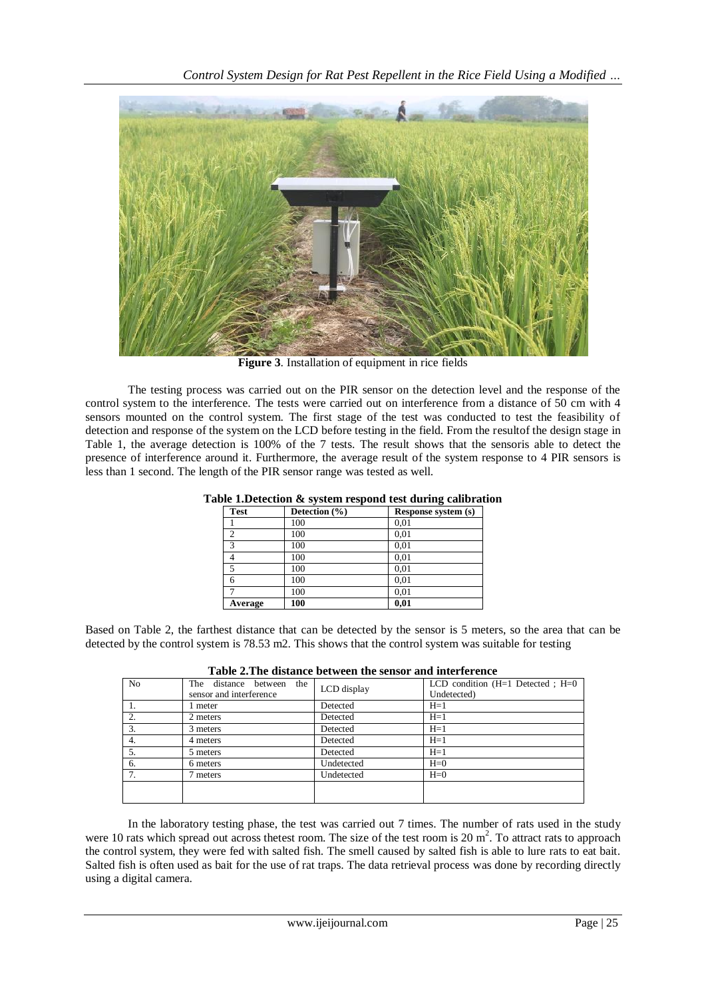

**Figure 3**. Installation of equipment in rice fields

The testing process was carried out on the PIR sensor on the detection level and the response of the control system to the interference. The tests were carried out on interference from a distance of 50 cm with 4 sensors mounted on the control system. The first stage of the test was conducted to test the feasibility of detection and response of the system on the LCD before testing in the field. From the resultof the design stage in Table 1, the average detection is 100% of the 7 tests. The result shows that the sensoris able to detect the presence of interference around it. Furthermore, the average result of the system response to 4 PIR sensors is less than 1 second. The length of the PIR sensor range was tested as well.

| <b>Test</b> | Detection $(\% )$ | Response system (s) |
|-------------|-------------------|---------------------|
|             | 100               | 0,01                |
| ↑           | 100               | 0,01                |
| 3           | 100               | 0,01                |
|             | 100               | 0,01                |
| 5           | 100               | 0,01                |
|             | 100               | 0,01                |
|             | 100               | 0,01                |
| Average     | 100               | 0,01                |

## **Table 1.Detection & system respond test during calibration**

Based on Table 2, the farthest distance that can be detected by the sensor is 5 meters, so the area that can be detected by the control system is 78.53 m2. This shows that the control system was suitable for testing

| No. | The distance between<br>the<br>sensor and interference | LCD display | LCD condition $(H=1$ Detected ; $H=0$<br>Undetected) |  |  |  |  |  |
|-----|--------------------------------------------------------|-------------|------------------------------------------------------|--|--|--|--|--|
|     | 1 meter                                                | Detected    | $H=1$                                                |  |  |  |  |  |
| 2.  | 2 meters                                               | Detected    | $H=1$                                                |  |  |  |  |  |
| 3.  | 3 meters                                               | Detected    | $H=1$                                                |  |  |  |  |  |
| 4.  | 4 meters                                               | Detected    | $H=1$                                                |  |  |  |  |  |
| 5.  | 5 meters                                               | Detected    | $H=1$                                                |  |  |  |  |  |
| 6.  | 6 meters                                               | Undetected  | $H=0$                                                |  |  |  |  |  |
| 7.  | 7 meters                                               | Undetected  | $H=0$                                                |  |  |  |  |  |
|     |                                                        |             |                                                      |  |  |  |  |  |

|  | Table 2. The distance between the sensor and interference |
|--|-----------------------------------------------------------|
|--|-----------------------------------------------------------|

In the laboratory testing phase, the test was carried out 7 times. The number of rats used in the study were 10 rats which spread out across thetest room. The size of the test room is  $20 \text{ m}^2$ . To attract rats to approach the control system, they were fed with salted fish. The smell caused by salted fish is able to lure rats to eat bait. Salted fish is often used as bait for the use of rat traps. The data retrieval process was done by recording directly using a digital camera.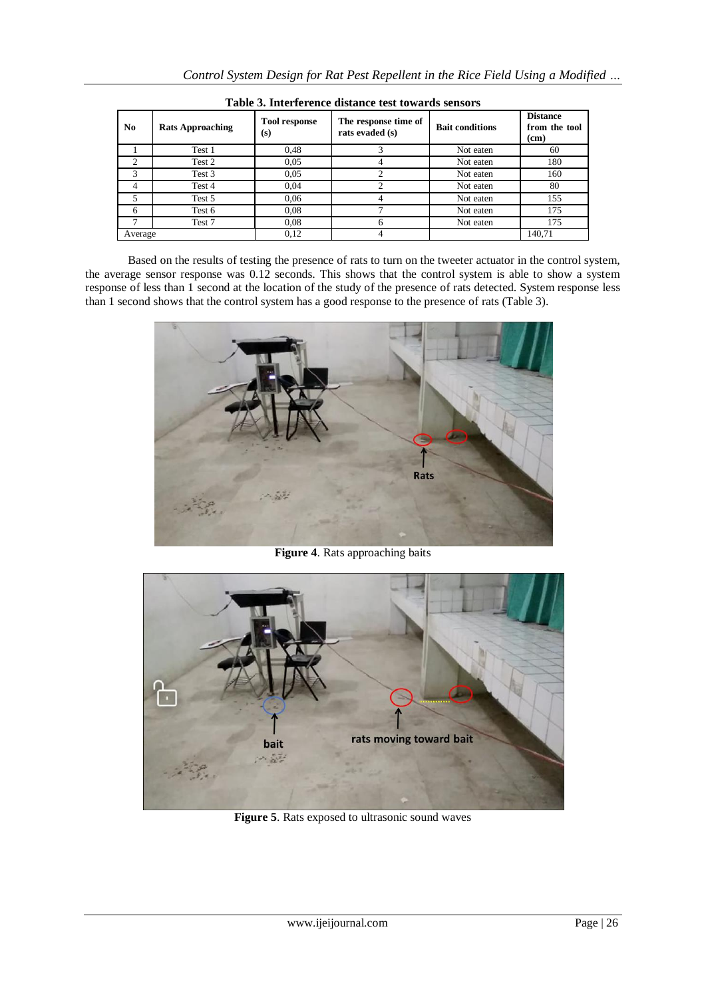| N <sub>0</sub> | <b>Rats Approaching</b> | <b>Tool response</b><br>(s) | The response time of<br>rats evaded (s) | <b>Bait conditions</b> | <b>Distance</b><br>from the tool<br>(cm) |
|----------------|-------------------------|-----------------------------|-----------------------------------------|------------------------|------------------------------------------|
|                | Test 1                  | 0.48                        |                                         | Not eaten              | 60                                       |
| $\Omega$       | Test 2                  | 0.05                        |                                         | Not eaten              | 180                                      |
| 3              | Test 3                  | 0.05                        |                                         | Not eaten              | 160                                      |
|                | Test 4                  | 0,04                        |                                         | Not eaten              | 80                                       |
|                | Test 5                  | 0,06                        |                                         | Not eaten              | 155                                      |
| 6              | Test 6                  | 0.08                        |                                         | Not eaten              | 175                                      |
|                | Test 7                  | 0.08                        | 6                                       | Not eaten              | 175                                      |
| Average        |                         | 0.12                        |                                         |                        | 140.71                                   |

**Table 3. Interference distance test towards sensors**

Based on the results of testing the presence of rats to turn on the tweeter actuator in the control system, the average sensor response was 0.12 seconds. This shows that the control system is able to show a system response of less than 1 second at the location of the study of the presence of rats detected. System response less than 1 second shows that the control system has a good response to the presence of rats (Table 3).



**Figure 4**. Rats approaching baits



**Figure 5**. Rats exposed to ultrasonic sound waves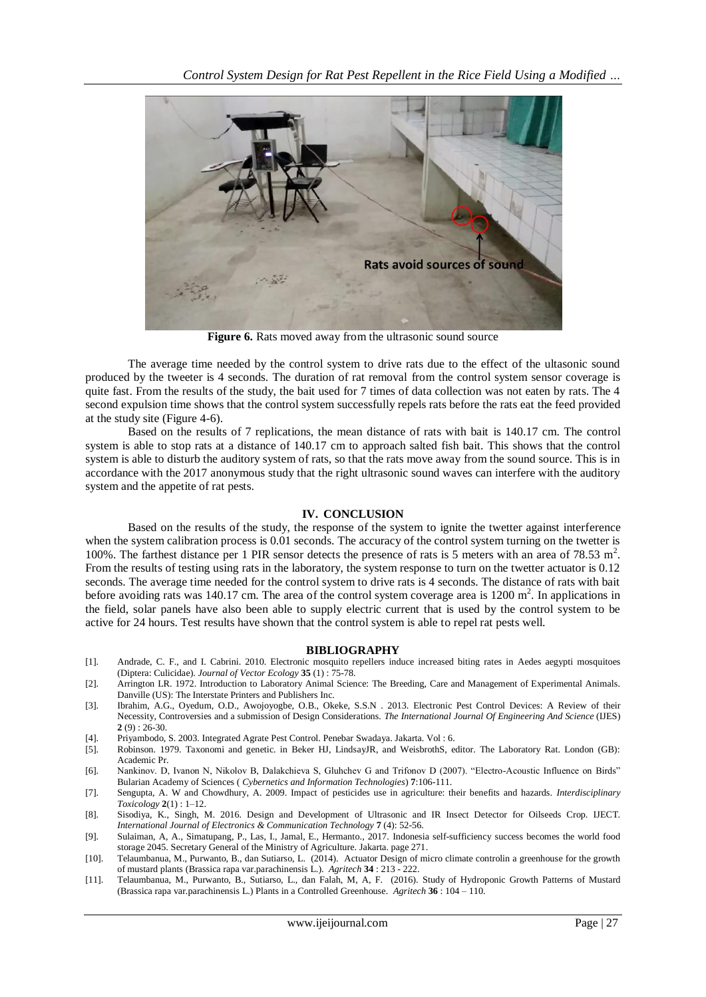

**Figure 6.** Rats moved away from the ultrasonic sound source

The average time needed by the control system to drive rats due to the effect of the ultasonic sound produced by the tweeter is 4 seconds. The duration of rat removal from the control system sensor coverage is quite fast. From the results of the study, the bait used for 7 times of data collection was not eaten by rats. The 4 second expulsion time shows that the control system successfully repels rats before the rats eat the feed provided at the study site (Figure 4-6).

Based on the results of 7 replications, the mean distance of rats with bait is 140.17 cm. The control system is able to stop rats at a distance of 140.17 cm to approach salted fish bait. This shows that the control system is able to disturb the auditory system of rats, so that the rats move away from the sound source. This is in accordance with the 2017 anonymous study that the right ultrasonic sound waves can interfere with the auditory system and the appetite of rat pests.

#### **IV. CONCLUSION**

Based on the results of the study, the response of the system to ignite the twetter against interference when the system calibration process is 0.01 seconds. The accuracy of the control system turning on the twetter is 100%. The farthest distance per 1 PIR sensor detects the presence of rats is 5 meters with an area of 78.53 m<sup>2</sup>. From the results of testing using rats in the laboratory, the system response to turn on the twetter actuator is 0.12 seconds. The average time needed for the control system to drive rats is 4 seconds. The distance of rats with bait before avoiding rats was 140.17 cm. The area of the control system coverage area is  $1200 \text{ m}^2$ . In applications in the field, solar panels have also been able to supply electric current that is used by the control system to be active for 24 hours. Test results have shown that the control system is able to repel rat pests well.

#### **BIBLIOGRAPHY**

- [1]. Andrade, C. F., and I. Cabrini. 2010. Electronic mosquito repellers induce increased biting rates in Aedes aegypti mosquitoes (Diptera: Culicidae). *Journal of Vector Ecology* **35** (1) : 75-78.
- [2]. Arrington LR. 1972. Introduction to Laboratory Animal Science: The Breeding, Care and Management of Experimental Animals. Danville (US): The Interstate Printers and Publishers Inc.
- [3]. Ibrahim, A.G., Oyedum, O.D., Awojoyogbe, O.B., Okeke, S.S.N . 2013. Electronic Pest Control Devices: A Review of their Necessity, Controversies and a submission of Design Considerations. *The International Journal Of Engineering And Science* (IJES) **2** (9) : 26-30.
- [4]. Priyambodo, S. 2003. Integrated Agrate Pest Control. Penebar Swadaya. Jakarta. Vol : 6.
- [5]. Robinson. 1979. Taxonomi and genetic. in Beker HJ, LindsayJR, and WeisbrothS, editor. The Laboratory Rat. London (GB): Academic Pr.
- [6]. Nankinov. D, Ivanon N, Nikolov B, Dalakchieva S, Gluhchev G and Trifonov D (2007). "Electro-Acoustic Influence on Birds" Bularian Academy of Sciences ( *Cybernetics and Information Technologies*) **7**:106-111.
- [7]. Sengupta, A. W and Chowdhury, A. 2009. Impact of pesticides use in agriculture: their benefits and hazards. *Interdisciplinary Toxicology* **2**(1) : 1–12.
- [8]. Sisodiya, K., Singh, M. 2016. Design and Development of Ultrasonic and IR Insect Detector for Oilseeds Crop. IJECT. *International Journal of Electronics & Communication Technology* **7** (4): 52-56.
- [9]. Sulaiman, A, A., Simatupang, P., Las, I., Jamal, E., Hermanto., 2017. Indonesia self-sufficiency success becomes the world food storage 2045. Secretary General of the Ministry of Agriculture. Jakarta. page 271.
- [10]. Telaumbanua, M., Purwanto, B., dan Sutiarso, L. (2014). Actuator Design of micro climate controlin a greenhouse for the growth of mustard plants (Brassica rapa var.parachinensis L.). *Agritech* **34** : 213 - 222.
- [11]. Telaumbanua, M., Purwanto, B., Sutiarso, L., dan Falah, M, A, F. (2016). Study of Hydroponic Growth Patterns of Mustard (Brassica rapa var.parachinensis L.) Plants in a Controlled Greenhouse*. Agritech* **36** : 104 – 110.